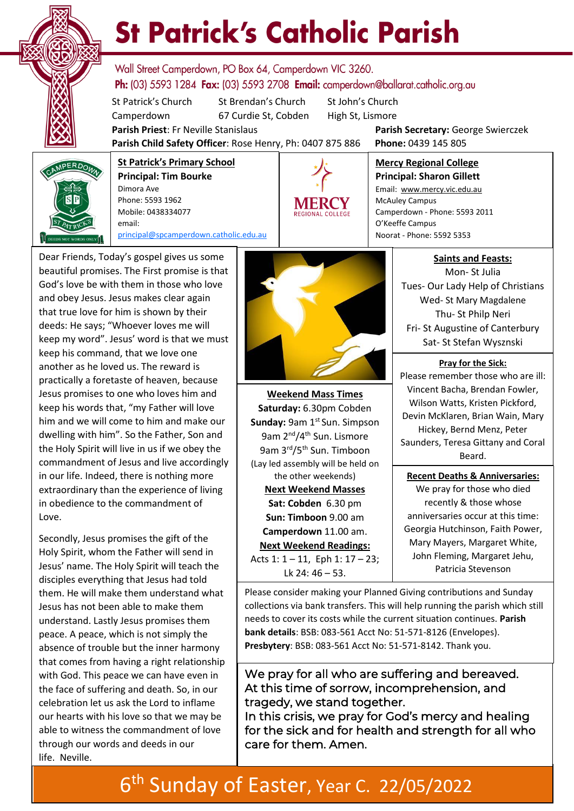

# **St Patrick's Catholic Parish**

Wall Street Camperdown, PO Box 64, Camperdown VIC 3260. **Ph:** (03) 5593 1284 **Fax:** (03) 5593 2708 **Email:** camperdown@ballarat.catholic.org.au

St Patrick's Church St Brendan's Church St John's Church Camperdown 67 Curdie St, Cobden High St, Lismore

**Parish Priest**: Fr Neville Stanislaus **Parish Secretary:** George Swierczek

McAuley Campus

O'Keeffe Campus

**Mercy Regional College Principal: Sharon Gillett** Email: www.mercy.vic.edu.au

Camperdown - Phone: 5593 2011

**Parish Child Safety Officer**: Rose Henry, Ph: 0407 875 886 **Phone:** 0439 145 805



**St Patrick's Primary School Principal: Tim Bourke**  Dimora Ave Phone: 5593 1962 Mobile: 0438334077 email: [principal@spcamperdown.catholic.edu.au](mailto:principal@spcamperdown.catholic.edu.auu)

Dear Friends, Today's gospel gives us some beautiful promises. The First promise is that God's love be with them in those who love and obey Jesus. Jesus makes clear again that true love for him is shown by their deeds: He says; "Whoever loves me will keep my word". Jesus' word is that we must keep his command, that we love one another as he loved us. The reward is practically a foretaste of heaven, because Jesus promises to one who loves him and keep his words that, "my Father will love him and we will come to him and make our dwelling with him". So the Father, Son and the Holy Spirit will live in us if we obey the commandment of Jesus and live accordingly in our life. Indeed, there is nothing more extraordinary than the experience of living in obedience to the commandment of Love.

. Jesus' name. The Holy Spirit will teach the Secondly, Jesus promises the gift of the Holy Spirit, whom the Father will send in disciples everything that Jesus had told them. He will make them understand what Jesus has not been able to make them understand. Lastly Jesus promises them peace. A peace, which is not simply the absence of trouble but the inner harmony that comes from having a right relationship with God. This peace we can have even in the face of suffering and death. So, in our celebration let us ask the Lord to inflame our hearts with his love so that we may be able to witness the commandment of love through our words and deeds in our life. Neville.



**Weekend Mass Times Saturday:** 6.30pm Cobden **Sunday: 9am 1st Sun. Simpson** 9am 2<sup>nd</sup>/4<sup>th</sup> Sun. Lismore 9am 3rd/5th Sun. Timboon (Lay led assembly will be held on the other weekends) **Next Weekend Masses Sat: Cobden** 6.30 pm **Sun: Timboon** 9.00 am **Camperdown** 11.00 am. **Next Weekend Readings:** Acts 1: 1 – 11, Eph 1: 17 – 23; Lk 24: 46 – 53.

**Saints and Feasts:**

Mon- St Julia Tues- Our Lady Help of Christians Wed- St Mary Magdalene Thu- St Philp Neri Fri- St Augustine of Canterbury Sat- St Stefan Wysznski

**Pray for the Sick:**

Please remember those who are ill: Vincent Bacha, Brendan Fowler, Wilson Watts, Kristen Pickford, Devin McKlaren, Brian Wain, Mary Hickey, Bernd Menz, Peter Saunders, Teresa Gittany and Coral Beard.

 **Recent Deaths & Anniversaries:** We pray for those who died recently & those whose anniversaries occur at this time: Georgia Hutchinson, Faith Power, Mary Mayers, Margaret White, John Fleming, Margaret Jehu, Patricia Stevenson

Please consider making your Planned Giving contributions and Sunday collections via bank transfers. This will help running the parish which still needs to cover its costs while the current situation continues. **Parish bank details**: BSB: 083-561 Acct No: 51-571-8126 (Envelopes). **Presbytery**: BSB: 083-561 Acct No: 51-571-8142. Thank you.

We pray for all who are suffering and bereaved. At this time of sorrow, incomprehension, and tragedy, we stand together.

In this crisis, we pray for God's mercy and healing for the sick and for health and strength for all who care for them. Amen.

## 6 th Sunday of Easter, Year C. 22/05/2022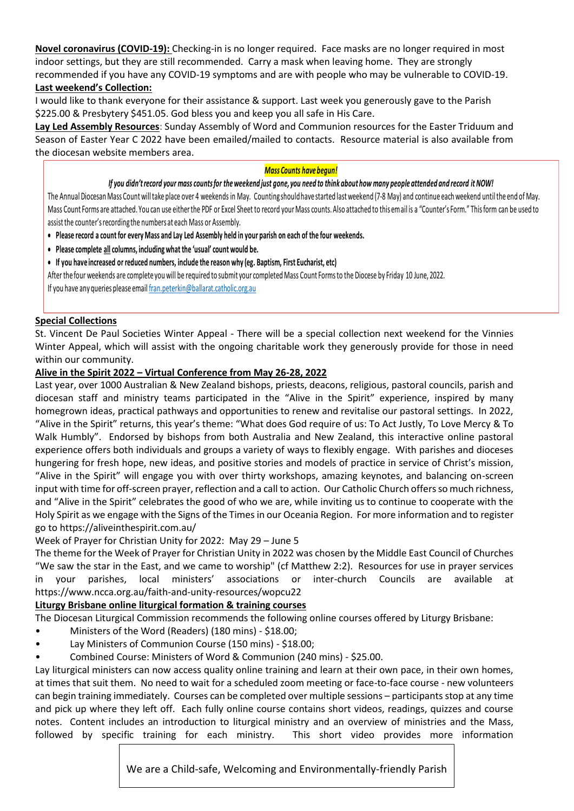**Novel coronavirus (COVID-19):** Checking-in is no longer required. Face masks are no longer required in most indoor settings, but they are still recommended. Carry a mask when leaving home. They are strongly recommended if you have any COVID-19 symptoms and are with people who may be vulnerable to COVID-19. **Last weekend's Collection:**

I would like to thank everyone for their assistance & support. Last week you generously gave to the Parish \$225.00 & Presbytery \$451.05. God bless you and keep you all safe in His Care.

**Lay Led Assembly Resources**: Sunday Assembly of Word and Communion resources for the Easter Triduum and Season of Easter Year C 2022 have been emailed/mailed to contacts. Resource material is also available from the diocesan website members area.

#### *Mass Counts have begun!*

#### *If you didn't record your mass counts for the weekend just gone, you need to think about how many people attended and record it NOW!*

The Annual Diocesan Mass Count will take place over 4 weekends in May. Counting should have started last weekend (7-8 May) and continue each weekend until the end of May. Mass Count Forms are attached. You can use either the PDF or Excel Sheet to record your Mass counts. Also attached to this email is a "Counter's Form." This form can be used to assist the counter's recording the numbers at each Mass or Assembly.

- **Please record a count for every Mass and Lay Led Assembly held in your parish on each of the four weekends.**
- **Please complete all columns, including what the 'usual' count would be.**
- **If you have increased or reduced numbers, include the reason why (eg. Baptism, First Eucharist, etc)**

[After the four weekends are complete you will be required to submit your completed Mass Count Forms to the Diocese by Friday 10 June, 2022.](mailto:fran.peterkin@ballarat.catholic.org.au)

If you have any queries please email fran.peterkin@ballarat.catholic.org.au

#### **Special Collections**

St. Vincent De Paul Societies Winter Appeal - There will be a special collection next weekend for the Vinnies Winter Appeal, which will assist with the ongoing charitable work they generously provide for those in need within our community.

#### **Alive in the Spirit 2022 – Virtual Conference from May 26-28, 2022**

Last year, over 1000 Australian & New Zealand bishops, priests, deacons, religious, pastoral councils, parish and diocesan staff and ministry teams participated in the "Alive in the Spirit" experience, inspired by many homegrown ideas, practical pathways and opportunities to renew and revitalise our pastoral settings. In 2022, "Alive in the Spirit" returns, this year's theme: "What does God require of us: To Act Justly, To Love Mercy & To Walk Humbly". Endorsed by bishops from both Australia and New Zealand, this interactive online pastoral experience offers both individuals and groups a variety of ways to flexibly engage. With parishes and dioceses hungering for fresh hope, new ideas, and positive stories and models of practice in service of Christ's mission, "Alive in the Spirit" will engage you with over thirty workshops, amazing keynotes, and balancing on-screen input with time for off-screen prayer, reflection and a call to action. Our Catholic Church offers so much richness, and "Alive in the Spirit" celebrates the good of who we are, while inviting us to continue to cooperate with the Holy Spirit as we engage with the Signs of the Times in our Oceania Region. For more information and to register go to https://aliveinthespirit.com.au/

Week of Prayer for Christian Unity for 2022: May 29 – June 5

The theme for the Week of Prayer for Christian Unity in 2022 was chosen by the Middle East Council of Churches "We saw the star in the East, and we came to worship" (cf Matthew 2:2). Resources for use in prayer services in your parishes, local ministers' associations or inter-church Councils are available at https://www.ncca.org.au/faith-and-unity-resources/wopcu22

#### **Liturgy Brisbane online liturgical formation & training courses**

The Diocesan Liturgical Commission recommends the following online courses offered by Liturgy Brisbane:

- Ministers of the Word (Readers) (180 mins) \$18.00;
- Lay Ministers of Communion Course (150 mins) \$18.00;
- Combined Course: Ministers of Word & Communion (240 mins) \$25.00.

Lay liturgical ministers can now access quality online training and learn at their own pace, in their own homes, at times that suit them. No need to wait for a scheduled zoom meeting or face-to-face course - new volunteers can begin training immediately. Courses can be completed over multiple sessions – participants stop at any time and pick up where they left off. Each fully online course contains short videos, readings, quizzes and course notes. Content includes an introduction to liturgical ministry and an overview of ministries and the Mass, followed by specific training for each ministry. This short video provides more information

We are a Child-safe, Welcoming and Environmentally-friendly Parish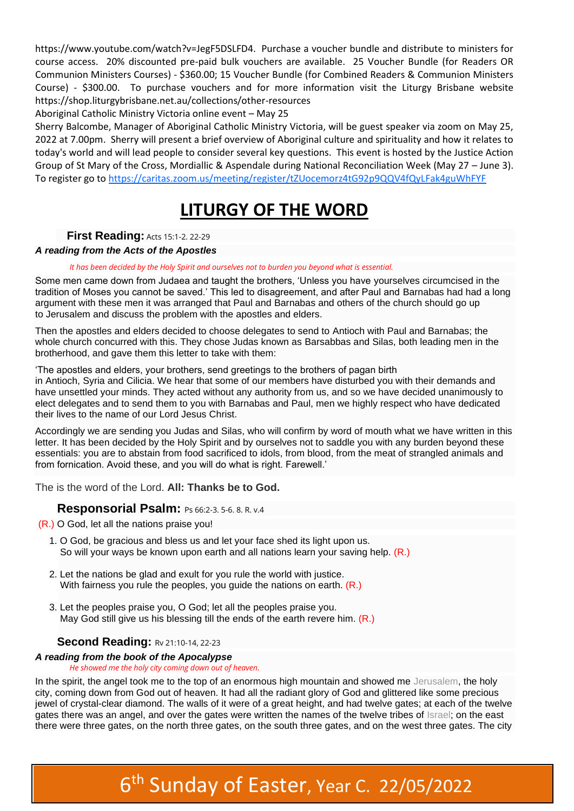https://www.youtube.com/watch?v=JegF5DSLFD4. Purchase a voucher bundle and distribute to ministers for course access. 20% discounted pre-paid bulk vouchers are available. 25 Voucher Bundle (for Readers OR Communion Ministers Courses) - \$360.00; 15 Voucher Bundle (for Combined Readers & Communion Ministers Course) - \$300.00. To purchase vouchers and for more information visit the Liturgy Brisbane website https://shop.liturgybrisbane.net.au/collections/other-resources

Aboriginal Catholic Ministry Victoria online event – May 25

Sherry Balcombe, Manager of Aboriginal Catholic Ministry Victoria, will be guest speaker via zoom on May 25, 2022 at 7.00pm. Sherry will present a brief overview of Aboriginal culture and spirituality and how it relates to today's world and will lead people to consider several key questions. This event is hosted by the Justice Action Group of St Mary of the Cross, Mordiallic & Aspendale during National Reconciliation Week (May 27 – June 3). To register go t[o https://caritas.zoom.us/meeting/register/tZUocemorz4tG92p9QQV4fQyLFak4guWhFYF](https://caritas.zoom.us/meeting/register/tZUocemorz4tG92p9QQV4fQyLFak4guWhFYF)

### **LITURGY OF THE WORD**

#### **First Reading: [Acts 15:1-2. 22-29](https://liturgyhelp.com/ritual/lectionary/LectionaryList%7Cact#act015)**

#### *A reading from the Acts of the Apostles*

#### *It has been decided by the Holy Spirit and ourselves not to burden you beyond what is essential.*

Some men came down from Judaea and taught the brothers, 'Unless you have yourselves circumcised in the tradition of Moses you cannot be saved.' This led to disagreement, and after Paul and Barnabas had had a long argument with these men it was arranged that Paul and Barnabas and others of the church should go up to Jerusalem and discuss the problem with the apostles and elders.

Then the apostles and elders decided to choose delegates to send to Antioch with Paul and Barnabas; the whole church concurred with this. They chose Judas known as Barsabbas and Silas, both leading men in the brotherhood, and gave them this letter to take with them:

'The apostles and elders, your brothers, send greetings to the brothers of pagan birth

in Antioch, Syria and Cilicia. We hear that some of our members have disturbed you with their demands and have unsettled your minds. They acted without any authority from us, and so we have decided unanimously to elect delegates and to send them to you with Barnabas and Paul, men we highly respect who have dedicated their lives to the name of our Lord Jesus Christ.

Accordingly we are sending you Judas and Silas, who will confirm by word of mouth what we have written in this letter. It has been decided by the Holy Spirit and by ourselves not to saddle you with any burden beyond these essentials: you are to abstain from food sacrificed to idols, from blood, from the meat of strangled animals and from fornication. Avoid these, and you will do what is right. Farewell.'

The is the word of the Lord. **All: Thanks be to God.**

#### **Responsorial Psalm:** [Ps 66:2-3. 5-6. 8. R. v.4](https://liturgyhelp.com/ritual/lectionary/LectionaryListPsalm%7Cpsm)

(R.) O God, let all the nations praise you!

- 1. O God, be gracious and bless us and let your face shed its light upon us. So will your ways be known upon earth and all nations learn your saving help. (R.)
- 2. Let the nations be glad and exult for you rule the world with justice. With fairness you rule the peoples, you guide the nations on earth. (R.)
- 3. Let the peoples praise you, O God; let all the peoples praise you. May God still give us his blessing till the ends of the earth revere him.  $(R<sub>1</sub>)$

#### **Second Reading: [Rv 21:10-14, 22-23](https://liturgyhelp.com/ritual/lectionary/LectionaryList%7Crev#rev021)**

#### *A reading from the book of the Apocalypse*

#### *He showed me the holy city coming down out of heaven.*

In the spirit, the angel took me to the top of an enormous high mountain and showed me Jerusalem, the holy city, coming down from God out of heaven. It had all the radiant glory of God and glittered like some precious jewel of crystal-clear diamond. The walls of it were of a great height, and had twelve gates; at each of the twelve gates there was an angel, and over the gates were written the names of the twelve tribes of Israel; on the east there were three gates, on the north three gates, on the south three gates, and on the west three gates. The city

### 6 th Sunday of Easter, Year C. 22/05/2022